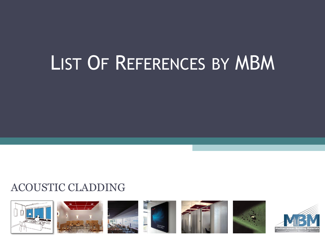# LIST OF REFERENCES BY MBM

# ACOUSTIC CLADDING



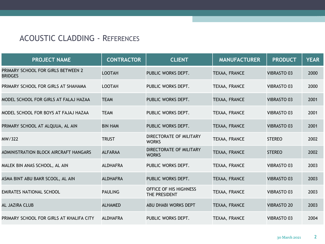| <b>PROJECT NAME</b>                                  | <b>CONTRACTOR</b> | <b>CLIENT</b>                           | <b>MANUFACTURER</b> | <b>PRODUCT</b>     | <b>YEAR</b> |
|------------------------------------------------------|-------------------|-----------------------------------------|---------------------|--------------------|-------------|
| PRIMARY SCHOOL FOR GIRLS BETWEEN 2<br><b>BRIDGES</b> | <b>LOOTAH</b>     | PUBLIC WORKS DEPT.                      | TEXAA, FRANCE       | <b>VIBRASTO 03</b> | 2000        |
| PRIMARY SCHOOL FOR GIRLS AT SHAHAMA                  | <b>LOOTAH</b>     | PUBLIC WORKS DEPT.                      | TEXAA, FRANCE       | <b>VIBRASTO 03</b> | 2000        |
| MODEL SCHOOL FOR GIRLS AT FALAJ HAZAA                | <b>TEAM</b>       | PUBLIC WORKS DEPT.                      | TEXAA, FRANCE       | <b>VIBRASTO 03</b> | 2001        |
| MODEL SCHOOL FOR BOYS AT FAJAJ HAZAA                 | <b>TEAM</b>       | PUBLIC WORKS DEPT.                      | TEXAA, FRANCE       | <b>VIBRASTO 03</b> | 2001        |
| PRIMARY SCHOOL AT ALQUUA, AL AIN                     | <b>BIN HAM</b>    | PUBLIC WORKS DEPT.                      | TEXAA, FRANCE       | <b>VIBRASTO 03</b> | 2001        |
| MW/322                                               | <b>TRUST</b>      | DIRECTORATE OF MILITARY<br><b>WORKS</b> | TEXAA, FRANCE       | <b>STEREO</b>      | 2002        |
| ADMINISTRATION BLOCK AIRCRAFT HANGARS                | <b>ALFARAA</b>    | DIRECTORATE OF MILITARY<br><b>WORKS</b> | TEXAA, FRANCE       | <b>STEREO</b>      | 2002        |
| MALEK BIN ANAS SCHOOL, AL AIN                        | <b>ALDHAFRA</b>   | PUBLIC WORKS DEPT.                      | TEXAA, FRANCE       | <b>VIBRASTO 03</b> | 2003        |
| ASMA BINT ABU BAKR SCOOL, AL AIN                     | <b>ALDHAFRA</b>   | PUBLIC WORKS DEPT.                      | TEXAA, FRANCE       | <b>VIBRASTO 03</b> | 2003        |
| <b>EMIRATES NATIONAL SCHOOL</b>                      | <b>PAULING</b>    | OFFICE OF HIS HIGHNESS<br>THE PRESIDENT | TEXAA, FRANCE       | <b>VIBRASTO 03</b> | 2003        |
| <b>AL JAZIRA CLUB</b>                                | <b>ALHAMED</b>    | ABU DHABI WORKS DEPT                    | TEXAA, FRANCE       | <b>VIBRASTO 20</b> | 2003        |
| PRIMARY SCHOOL FOR GIRLS AT KHALIFA CITY             | <b>ALDHAFRA</b>   | PUBLIC WORKS DEPT.                      | TEXAA, FRANCE       | <b>VIBRASTO 03</b> | 2004        |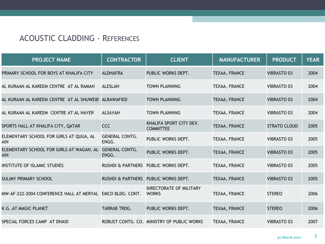| <b>PROJECT NAME</b>                                       | <b>CONTRACTOR</b>              | <b>CLIENT</b>                               | <b>MANUFACTURER</b> | <b>PRODUCT</b>      | <b>YEAR</b> |
|-----------------------------------------------------------|--------------------------------|---------------------------------------------|---------------------|---------------------|-------------|
| PRIMARY SCHOOL FOR BOYS AT KHALIFA CITY                   | <b>ALDHAFRA</b>                | PUBLIC WORKS DEPT.                          | TEXAA, FRANCE       | <b>VIBRASTO 03</b>  | 2004        |
| AL KURAAN AL KAREEM CENTRE AT AL RAMAH                    | <b>ALESLAH</b>                 | <b>TOWN PLANNING</b>                        | TEXAA, FRANCE       | <b>VIBRASTO 03</b>  | 2004        |
| AL KURAAN AL KAREEM CENTRE AT AL SHUWEIB                  | ALRAWAFIED                     | <b>TOWN PLANNING</b>                        | TEXAA, FRANCE       | <b>VIBRASTO 03</b>  | 2004        |
| AL KURAAN AL KAREEM CENTRE AT AL HAYER                    | <b>ALSAYAH</b>                 | <b>TOWN PLANNING</b>                        | TEXAA, FRANCE       | <b>VIBRASTO 03</b>  | 2004        |
| SPORTS HALL AT KHALIFA CITY, QATAR                        | CCC                            | KHALIFA SPORT CITY DEV.<br><b>COMMITTEE</b> | TEXAA, FRANCE       | <b>STRATO CLOUD</b> | 2005        |
| ELEMENTARY SCHOOL FOR GIRLS AT QUUA, AL<br><b>AIN</b>     | <b>GENERAL CONTG.</b><br>ENGG. | PUBLIC WORKS DEPT.                          | TEXAA, FRANCE       | <b>VIBRASTO 03</b>  | 2005        |
| ELEMENTARY SCHOOL FOR GIRLS AT WAGAN, AL<br>AIN           | <b>GENERAL CONTG.</b><br>ENGG. | PUBLIC WORKS DEPT.                          | TEXAA, FRANCE       | <b>VIBRASTO 03</b>  | 2005        |
| INSTITUTE OF ISLAMIC STUDIES                              | <b>RUSHDI &amp; PARTNERS</b>   | PUBLIC WORKS DEPT.                          | TEXAA, FRANCE       | <b>VIBRASTO 03</b>  | 2005        |
| <b>SULIMY PRIMARY SCHOOL</b>                              | <b>RUSHDI &amp; PARTNERS</b>   | PUBLIC WORKS DEPT.                          | TEXAA, FRANCE       | <b>VIBRASTO 03</b>  | 2005        |
| MW-AF-222-2004 CONFERENCE HALL AT MERYAL EMCO BLDG. CONT. |                                | DIRECTORATE OF MILITARY<br><b>WORKS</b>     | TEXAA, FRANCE       | <b>STEREO</b>       | 2006        |
| K.G. AT MAGIC PLANET                                      | <b>TARRAB TRDG.</b>            | PUBLIC WORKS DEPT.                          | TEXAA, FRANCE       | <b>STEREO</b>       | 2006        |
| SPECIAL FORCES CAMP AT DHAID                              |                                | ROBUST CONTG. CO. MINISTRY OF PUBLIC WORKS  | TEXAA, FRANCE       | <b>VIBRASTO 03</b>  | 2007        |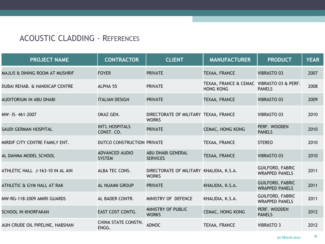| <b>PROJECT NAME</b>              | <b>CONTRACTOR</b>                      | <b>CLIENT</b>                                            | <b>MANUFACTURER</b>                                           | <b>PRODUCT</b>                                   | <b>YEAR</b> |
|----------------------------------|----------------------------------------|----------------------------------------------------------|---------------------------------------------------------------|--------------------------------------------------|-------------|
| MAJLIS & DINING ROOM AT MUSHRIF  | <b>FOYER</b>                           | <b>PRIVATE</b>                                           | TEXAA, FRANCE                                                 | <b>VIBRASTO 03</b>                               | 2007        |
| DUBAI REHAB. & HANDICAP CENTRE   | ALPHA 55                               | <b>PRIVATE</b>                                           | TEXAA, FRANCE & CEMAC VIBRASTO 03 & PERF.<br><b>HONG KONG</b> | <b>PANELS</b>                                    | 2008        |
| AUDITORIUM IN ABU DHABI          | <b>ITALIAN DESIGN</b>                  | <b>PRIVATE</b>                                           | TEXAA, FRANCE                                                 | <b>VIBRASTO 03</b>                               | 2009        |
| MW- IS-461-2007                  | OKAZ GEN.                              | DIRECTORATE OF MILITARY TEXAA, FRANCE<br><b>WORKS</b>    |                                                               | <b>VIBRASTO 03</b>                               | 2010        |
| SAUDI GERMAN HOSPITAL            | <b>INT'L HOSPITALS</b><br>CONST. CO.   | <b>PRIVATE</b>                                           | <b>CEMAC, HONG KONG</b>                                       | PERF. WOODEN<br><b>PANELS</b>                    | 2010        |
| MIRDIF CITY CENTRE FAMILY ENT.   | DUTCO CONSTRUCTION PRIVATE             |                                                          | TEXAA, FRANCE                                                 | <b>STEREO</b>                                    | 2010        |
| AL DAHMA MODEL SCHOOL            | <b>ADVANCED AUDIO</b><br><b>SYSTEM</b> | <b>ABU DHABI GENERAL</b><br><b>SERVICES</b>              | TEXAA, FRANCE                                                 | <b>VIBRASTO 03</b>                               | 2010        |
| ATHLETIC HALL J-163-10 IN AL AIN | ALBA TEC CONS.                         | DIRECTORATE OF MILITARY KHALIDIA, K.S.A.<br><b>WORKS</b> |                                                               | <b>GUILFORD, FABRIC</b><br><b>WRAPPED PANELS</b> | 2011        |
| ATHLETIC & GYM HALL AT RAK       | <b>AL NUAIMI GROUP</b>                 | <b>PRIVATE</b>                                           | KHALIDIA, K.S.A.                                              | <b>GUILFORD, FABRIC</b><br><b>WRAPPED PANELS</b> | 2011        |
| MW-RG-118-2009 AMIRI GUARDS      | AL BADER CONTR.                        | MINISTRY OF DEFENCE                                      | KHALIDIA, K.S.A.                                              | <b>GUILFORD, FABRIC</b><br><b>WRAPPED PANELS</b> | 2011        |
| <b>SCHOOL IN KHORFAKAN</b>       | EAST COST CONTG.                       | MINISTRY OF PUBLIC<br><b>WORKS</b>                       | <b>CEMAC, HONG KONG</b>                                       | PERF. WOODEN<br><b>PANELS</b>                    | 2012        |
| AUH CRUDE OIL PIPELINE, HABSHAN  | <b>CHINA STATE CONSTN.</b><br>ENGG.    | <b>ADNOC</b>                                             | TEXAA, FRANCE                                                 | <b>VIBRASTO 3</b>                                | 2012        |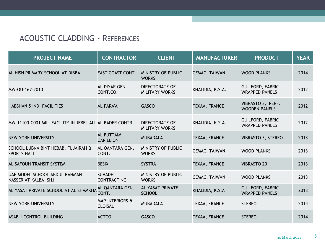| <b>PROJECT NAME</b>                                       | <b>CONTRACTOR</b>                            | <b>CLIENT</b>                                  | <b>MANUFACTURER</b> | <b>PRODUCT</b>                                   | <b>YEAR</b> |
|-----------------------------------------------------------|----------------------------------------------|------------------------------------------------|---------------------|--------------------------------------------------|-------------|
| AL HISN PRIMARY SCHOOL AT DIBBA                           | EAST COAST CONT.                             | MINISTRY OF PUBLIC<br><b>WORKS</b>             | CEMAC, TAIWAN       | <b>WOOD PLANKS</b>                               | 2014        |
| MW-OU-167-2010                                            | AL DIYAR GEN.<br>CONT.CO.                    | <b>DIRECTORATE OF</b><br><b>MILITARY WORKS</b> | KHALIDIA, K.S.A.    | <b>GUILFORD, FABRIC</b><br><b>WRAPPED PANELS</b> | 2012        |
| HABSHAN 5 IND. FACILITIES                                 | <b>AL FARA'A</b>                             | <b>GASCO</b>                                   | TEXAA, FRANCE       | VIBRASTO 3, PERF.<br><b>WOODEN PANELS</b>        | 2012        |
| MW-11100-C001 MIL. FACILITY IN JEBEL ALI AL BADER CONTR.  |                                              | <b>DIRECTORATE OF</b><br><b>MILITARY WORKS</b> | KHALIDIA, K.S.A.    | <b>GUILFORD, FABRIC</b><br><b>WRAPPED PANELS</b> | 2012        |
| <b>NEW YORK UNIVERSITY</b>                                | <b>AL FUTTAIM</b><br><b>CARILLION</b>        | <b>MUBADALA</b>                                | TEXAA, FRANCE       | <b>VIBRASTO 3, STEREO</b>                        | 2013        |
| SCHOOL LUBNA BINT HEBAB, FUJAIRAH &<br><b>SPORTS HALL</b> | AL QANTARA GEN.<br>CONT.                     | MINISTRY OF PUBLIC<br><b>WORKS</b>             | CEMAC, TAIWAN       | <b>WOOD PLANKS</b>                               | 2013        |
| AL SAFOUH TRANSIT SYSTEM                                  | <b>BESIX</b>                                 | <b>SYSTRA</b>                                  | TEXAA, FRANCE       | <b>VIBRASTO 20</b>                               | 2013        |
| UAE MODEL SCHOOL ABDUL RAHMAN<br>NASSER AT KALBA, SHJ     | <b>SUVADH</b><br><b>CONTRACTING</b>          | MINISTRY OF PUBLIC<br><b>WORKS</b>             | CEMAC, TAIWAN       | <b>WOOD PLANKS</b>                               | 2013        |
| AL YASAT PRIVATE SCHOOL AT AL SHAMKHA <sup>NL</sup> CONT. | AL QANTARA GEN.                              | <b>AL YASAT PRIVATE</b><br><b>SCHOOL</b>       | KHALIDIA, K.S.A     | <b>GUILFORD, FABRIC</b><br><b>WRAPPED PANELS</b> | 2013        |
| NEW YORK UNIVERSITY                                       | <b>MAP INTERIORS &amp;</b><br><b>CLOISAL</b> | <b>MUBADALA</b>                                | TEXAA, FRANCE       | <b>STEREO</b>                                    | 2014        |
| <b>ASAB 1 CONTROL BUILDING</b>                            | <b>ACTCO</b>                                 | <b>GASCO</b>                                   | TEXAA, FRANCE       | <b>STEREO</b>                                    | 2014        |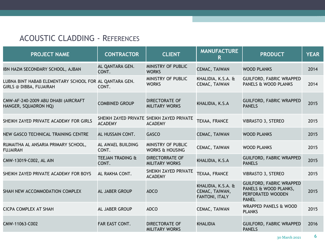| <b>PROJECT NAME</b>                                                                      | <b>CONTRACTOR</b>                    | <b>CLIENT</b>                                               | <b>MANUFACTURE</b><br>R                                | <b>PRODUCT</b>                                                                                | <b>YEAR</b> |
|------------------------------------------------------------------------------------------|--------------------------------------|-------------------------------------------------------------|--------------------------------------------------------|-----------------------------------------------------------------------------------------------|-------------|
| IBN HAZM SECONDARY SCHOOL, AJBAN                                                         | AL QANTARA GEN.<br>CONT.             | MINISTRY OF PUBLIC<br><b>WORKS</b>                          | CEMAC, TAIWAN                                          | <b>WOOD PLANKS</b>                                                                            | 2014        |
| LUBNA BINT HABAB ELEMENTARY SCHOOL FOR AL QANTARA GEN.<br><b>GIRLS @ DIBBA, FUJAIRAH</b> | CONT.                                | MINISTRY OF PUBLIC<br><b>WORKS</b>                          | KHALIDIA, K.S.A. &<br>CEMAC, TAIWAN                    | <b>GUILFORD, FABRIC WRAPPED</b><br>PANELS & WOOD PLANKS                                       | 2014        |
| CMW-AF-240-2009 ABU DHABI (AIRCRAFT<br>HANGER, SQUADRON HQ)                              | <b>COMBINED GROUP</b>                | <b>DIRECTORATE OF</b><br><b>MILITARY WORKS</b>              | KHALIDIA, K.S.A                                        | <b>GUILFORD, FABRIC WRAPPED</b><br><b>PANELS</b>                                              | 2015        |
| SHEIKH ZAYED PRIVATE ACADEMY FOR GIRLS                                                   | <b>ACADEMY</b>                       | SHEIKH ZAYED PRIVATE SHEIKH ZAYED PRIVATE<br><b>ACADEMY</b> | TEXAA, FRANCE                                          | <b>VIBRASTO 3, STEREO</b>                                                                     | 2015        |
| NEW GASCO TECHNICAL TRAINING CENTRE                                                      | AL HUSSAIN CONT.                     | <b>GASCO</b>                                                | CEMAC, TAIWAN                                          | <b>WOOD PLANKS</b>                                                                            | 2015        |
| RUMAITHA AL ANSARIA PRIMARY SCHOOL,<br><b>FUJAIRAH</b>                                   | AL AWAEL BUILDING<br>CONT.           | MINISTRY OF PUBLIC<br><b>WORKS &amp; HOUSING</b>            | CEMAC, TAIWAN                                          | <b>WOOD PLANKS</b>                                                                            | 2015        |
| CMW-13019-C002, AL AIN                                                                   | <b>TEEJAN TRADING &amp;</b><br>CONT. | <b>DIRECTORRATE OF</b><br><b>MILITARY WORKS</b>             | KHALIDIA, K.S.A                                        | <b>GUILFORD, FABRIC WRAPPED</b><br><b>PANELS</b>                                              | 2015        |
| SHEIKH ZAYED PRIVATE ACADEMY FOR BOYS                                                    | AL RAKHA CONT.                       | SHEIKH ZAYED PRIVATE<br><b>ACADEMY</b>                      | TEXAA, FRANCE                                          | <b>VIBRASTO 3, STEREO</b>                                                                     | 2015        |
| SHAH NEW ACCOMMODATION COMPLEX                                                           | AL JABER GROUP                       | <b>ADCO</b>                                                 | KHALIDIA, K.S.A. &<br>CEMAC, TAIWAN,<br>FANTONI, ITALY | <b>GUILFORD, FABRIC WRAPPED</b><br>PANELS & WOOD PLANKS,<br>PERFORATED WOODEN<br><b>PANEL</b> | 2015        |
| CICPA COMPLEX AT SHAH                                                                    | <b>AL JABER GROUP</b>                | <b>ADCO</b>                                                 | CEMAC, TAIWAN                                          | <b>WRAPPED PANELS &amp; WOOD</b><br><b>PLANKS</b>                                             | 2015        |
| CMW-11063-C002                                                                           | FAR EAST CONT.                       | <b>DIRECTORATE OF</b><br><b>MILITARY WORKS</b>              | <b>KHALIDIA</b>                                        | <b>GUILFORD, FABRIC WRAPPED</b><br><b>PANELS</b>                                              | 2016        |